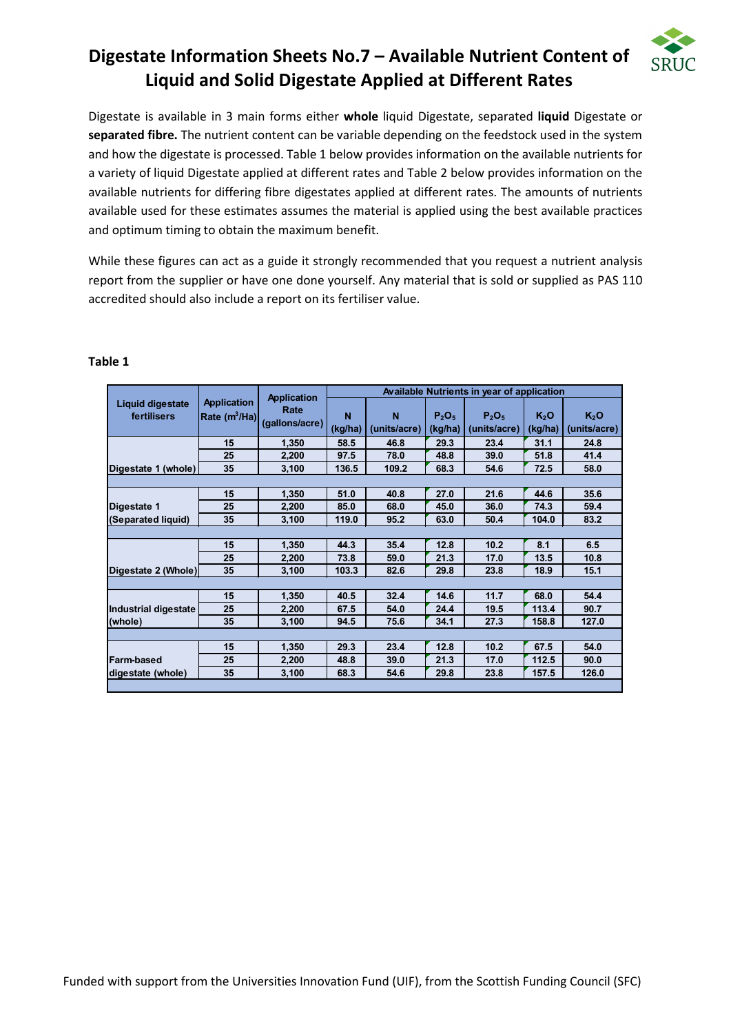# **Digestate Information Sheets No.7 – Available Nutrient Content of Liquid and Solid Digestate Applied at Different Rates**



Digestate is available in 3 main forms either **whole** liquid Digestate, separated **liquid** Digestate or **separated fibre.** The nutrient content can be variable depending on the feedstock used in the system and how the digestate is processed. Table 1 below provides information on the available nutrients for a variety of liquid Digestate applied at different rates and Table 2 below provides information on the available nutrients for differing fibre digestates applied at different rates. The amounts of nutrients available used for these estimates assumes the material is applied using the best available practices and optimum timing to obtain the maximum benefit.

While these figures can act as a guide it strongly recommended that you request a nutrient analysis report from the supplier or have one done yourself. Any material that is sold or supplied as PAS 110 accredited should also include a report on its fertiliser value.

| <b>Application</b><br><b>Liquid digestate</b><br>Rate<br>K <sub>2</sub> O<br>N<br>N<br>$P_2O_5$<br>$P_2O_5$<br>K <sub>2</sub> O<br>fertilisers<br>Rate $(m^3/Ha)$<br>(gallons/acre)<br>(kg/ha)<br>(units/acre)<br>(units/acre)<br>(kg/ha)<br>(units/acre)<br>(kg/ha)<br>29.3<br>15<br>58.5<br>46.8<br>23.4<br>31.1<br>24.8<br>1.350<br>25<br>51.8<br>97.5<br>78.0<br>48.8<br>39.0<br>41.4<br>2,200<br>35<br>68.3<br>72.5<br>136.5<br>58.0<br>Digestate 1 (whole)<br>3,100<br>109.2<br>54.6<br>27.0<br>44.6<br>15<br>51.0<br>40.8<br>21.6<br>35.6<br>1,350<br>74.3<br>25<br>85.0<br>68.0<br>45.0<br>36.0<br>59.4<br>2,200<br>35<br>(Separated liquid)<br>119.0<br>95.2<br>63.0<br>50.4<br>104.0<br>83.2<br>3,100<br>8.1<br>15<br>44.3<br>35.4<br>12.8<br>10.2<br>1,350<br>6.5<br>21.3<br>13.5<br>25<br>73.8<br>59.0<br>17.0<br>10.8<br>2,200<br>35<br>103.3<br>82.6<br>29.8<br>18.9<br>15.1<br>Digestate 2 (Whole)<br>3,100<br>23.8<br>14.6<br>11.7<br>68.0<br>15<br>32.4<br>54.4<br>1,350<br>40.5<br>25<br>24.4<br>19.5<br>113.4<br>2,200<br>67.5<br>54.0<br>90.7<br>34.1<br>35<br>158.8<br>127.0<br>3,100<br>94.5<br>75.6<br>27.3 |                      | <b>Application</b> | Available Nutrients in year of application |  |  |  |  |  |
|------------------------------------------------------------------------------------------------------------------------------------------------------------------------------------------------------------------------------------------------------------------------------------------------------------------------------------------------------------------------------------------------------------------------------------------------------------------------------------------------------------------------------------------------------------------------------------------------------------------------------------------------------------------------------------------------------------------------------------------------------------------------------------------------------------------------------------------------------------------------------------------------------------------------------------------------------------------------------------------------------------------------------------------------------------------------------------------------------------------------------------|----------------------|--------------------|--------------------------------------------|--|--|--|--|--|
|                                                                                                                                                                                                                                                                                                                                                                                                                                                                                                                                                                                                                                                                                                                                                                                                                                                                                                                                                                                                                                                                                                                                    |                      |                    |                                            |  |  |  |  |  |
|                                                                                                                                                                                                                                                                                                                                                                                                                                                                                                                                                                                                                                                                                                                                                                                                                                                                                                                                                                                                                                                                                                                                    |                      |                    |                                            |  |  |  |  |  |
|                                                                                                                                                                                                                                                                                                                                                                                                                                                                                                                                                                                                                                                                                                                                                                                                                                                                                                                                                                                                                                                                                                                                    |                      |                    |                                            |  |  |  |  |  |
|                                                                                                                                                                                                                                                                                                                                                                                                                                                                                                                                                                                                                                                                                                                                                                                                                                                                                                                                                                                                                                                                                                                                    |                      |                    |                                            |  |  |  |  |  |
|                                                                                                                                                                                                                                                                                                                                                                                                                                                                                                                                                                                                                                                                                                                                                                                                                                                                                                                                                                                                                                                                                                                                    |                      |                    |                                            |  |  |  |  |  |
|                                                                                                                                                                                                                                                                                                                                                                                                                                                                                                                                                                                                                                                                                                                                                                                                                                                                                                                                                                                                                                                                                                                                    |                      |                    |                                            |  |  |  |  |  |
|                                                                                                                                                                                                                                                                                                                                                                                                                                                                                                                                                                                                                                                                                                                                                                                                                                                                                                                                                                                                                                                                                                                                    | Digestate 1          |                    |                                            |  |  |  |  |  |
|                                                                                                                                                                                                                                                                                                                                                                                                                                                                                                                                                                                                                                                                                                                                                                                                                                                                                                                                                                                                                                                                                                                                    |                      |                    |                                            |  |  |  |  |  |
|                                                                                                                                                                                                                                                                                                                                                                                                                                                                                                                                                                                                                                                                                                                                                                                                                                                                                                                                                                                                                                                                                                                                    |                      |                    |                                            |  |  |  |  |  |
|                                                                                                                                                                                                                                                                                                                                                                                                                                                                                                                                                                                                                                                                                                                                                                                                                                                                                                                                                                                                                                                                                                                                    |                      |                    |                                            |  |  |  |  |  |
|                                                                                                                                                                                                                                                                                                                                                                                                                                                                                                                                                                                                                                                                                                                                                                                                                                                                                                                                                                                                                                                                                                                                    |                      |                    |                                            |  |  |  |  |  |
|                                                                                                                                                                                                                                                                                                                                                                                                                                                                                                                                                                                                                                                                                                                                                                                                                                                                                                                                                                                                                                                                                                                                    |                      |                    |                                            |  |  |  |  |  |
|                                                                                                                                                                                                                                                                                                                                                                                                                                                                                                                                                                                                                                                                                                                                                                                                                                                                                                                                                                                                                                                                                                                                    |                      |                    |                                            |  |  |  |  |  |
|                                                                                                                                                                                                                                                                                                                                                                                                                                                                                                                                                                                                                                                                                                                                                                                                                                                                                                                                                                                                                                                                                                                                    |                      |                    |                                            |  |  |  |  |  |
|                                                                                                                                                                                                                                                                                                                                                                                                                                                                                                                                                                                                                                                                                                                                                                                                                                                                                                                                                                                                                                                                                                                                    | Industrial digestate |                    |                                            |  |  |  |  |  |
|                                                                                                                                                                                                                                                                                                                                                                                                                                                                                                                                                                                                                                                                                                                                                                                                                                                                                                                                                                                                                                                                                                                                    | (whole)              |                    |                                            |  |  |  |  |  |
|                                                                                                                                                                                                                                                                                                                                                                                                                                                                                                                                                                                                                                                                                                                                                                                                                                                                                                                                                                                                                                                                                                                                    |                      |                    |                                            |  |  |  |  |  |
| 29.3<br>12.8<br>10.2<br>67.5<br>15<br>23.4<br>54.0<br>1,350                                                                                                                                                                                                                                                                                                                                                                                                                                                                                                                                                                                                                                                                                                                                                                                                                                                                                                                                                                                                                                                                        |                      |                    |                                            |  |  |  |  |  |
| 21.3<br>112.5<br>25<br>48.8<br>39.0<br>17.0<br>90.0<br>2,200                                                                                                                                                                                                                                                                                                                                                                                                                                                                                                                                                                                                                                                                                                                                                                                                                                                                                                                                                                                                                                                                       | <b>Farm-based</b>    |                    |                                            |  |  |  |  |  |
| 35<br>29.8<br>126.0<br>3,100<br>68.3<br>54.6<br>23.8<br>157.5                                                                                                                                                                                                                                                                                                                                                                                                                                                                                                                                                                                                                                                                                                                                                                                                                                                                                                                                                                                                                                                                      | digestate (whole)    |                    |                                            |  |  |  |  |  |

#### **Table 1**